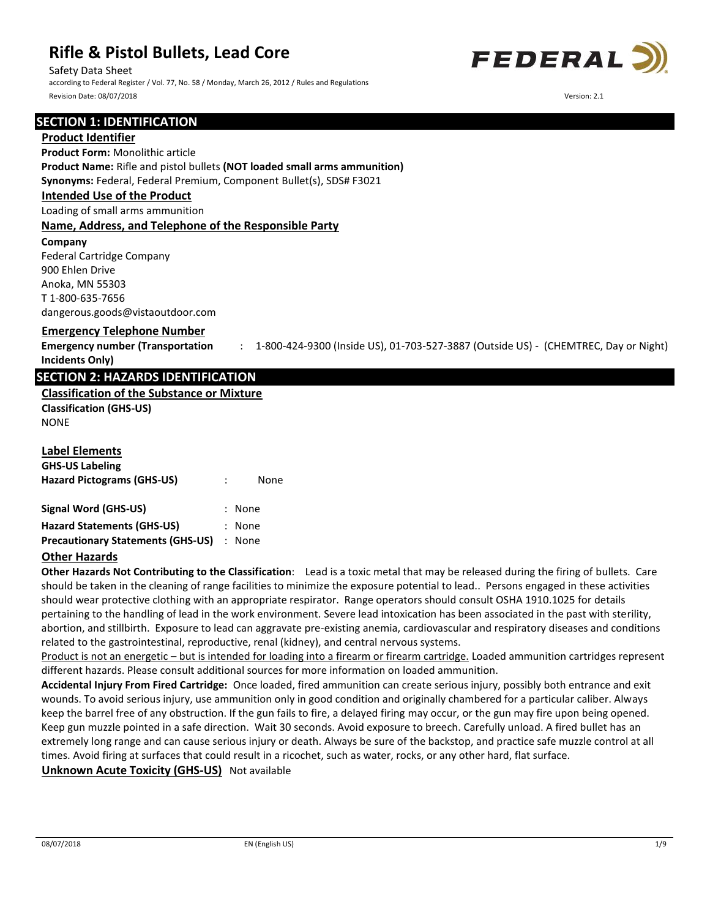Safety Data Sheet

according to Federal Register / Vol. 77, No. 58 / Monday, March 26, 2012 / Rules and Regulations Revision Date: 08/07/2018 Version: 2.1



### **Other Hazards**

**Other Hazards Not Contributing to the Classification**: Lead is a toxic metal that may be released during the firing of bullets. Care should be taken in the cleaning of range facilities to minimize the exposure potential to lead.. Persons engaged in these activities should wear protective clothing with an appropriate respirator. Range operators should consult OSHA 1910.1025 for details pertaining to the handling of lead in the work environment. Severe lead intoxication has been associated in the past with sterility, abortion, and stillbirth. Exposure to lead can aggravate pre-existing anemia, cardiovascular and respiratory diseases and conditions related to the gastrointestinal, reproductive, renal (kidney), and central nervous systems.

Product is not an energetic – but is intended for loading into a firearm or firearm cartridge. Loaded ammunition cartridges represent different hazards. Please consult additional sources for more information on loaded ammunition.

**Accidental Injury From Fired Cartridge:** Once loaded, fired ammunition can create serious injury, possibly both entrance and exit wounds. To avoid serious injury, use ammunition only in good condition and originally chambered for a particular caliber. Always keep the barrel free of any obstruction. If the gun fails to fire, a delayed firing may occur, or the gun may fire upon being opened. Keep gun muzzle pointed in a safe direction. Wait 30 seconds. Avoid exposure to breech. Carefully unload. A fired bullet has an extremely long range and can cause serious injury or death. Always be sure of the backstop, and practice safe muzzle control at all times. Avoid firing at surfaces that could result in a ricochet, such as water, rocks, or any other hard, flat surface.

**Unknown Acute Toxicity (GHS-US)** Not available

**Hazard Statements (GHS-US)** : None **Precautionary Statements (GHS-US)** : None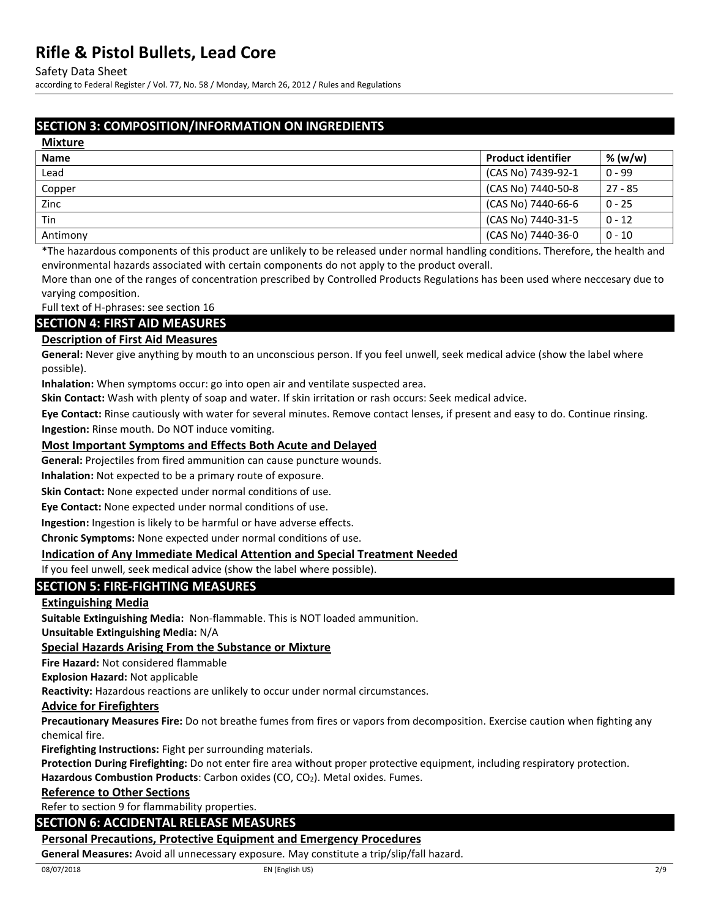Safety Data Sheet

according to Federal Register / Vol. 77, No. 58 / Monday, March 26, 2012 / Rules and Regulations

# **SECTION 3: COMPOSITION/INFORMATION ON INGREDIENTS**

| <b>Mixture</b> |                           |           |
|----------------|---------------------------|-----------|
| <b>Name</b>    | <b>Product identifier</b> | % (w/w)   |
| Lead           | (CAS No) 7439-92-1        | $0 - 99$  |
| Copper         | (CAS No) 7440-50-8        | $27 - 85$ |
| Zinc           | (CAS No) 7440-66-6        | $0 - 25$  |
| Tin            | (CAS No) 7440-31-5        | $0 - 12$  |
| Antimony       | (CAS No) 7440-36-0        | $0 - 10$  |

\*The hazardous components of this product are unlikely to be released under normal handling conditions. Therefore, the health and environmental hazards associated with certain components do not apply to the product overall.

More than one of the ranges of concentration prescribed by Controlled Products Regulations has been used where neccesary due to varying composition.

Full text of H-phrases: see section 16

### **SECTION 4: FIRST AID MEASURES**

### **Description of First Aid Measures**

**General:** Never give anything by mouth to an unconscious person. If you feel unwell, seek medical advice (show the label where possible).

**Inhalation:** When symptoms occur: go into open air and ventilate suspected area.

**Skin Contact:** Wash with plenty of soap and water. If skin irritation or rash occurs: Seek medical advice.

**Eye Contact:** Rinse cautiously with water for several minutes. Remove contact lenses, if present and easy to do. Continue rinsing. **Ingestion:** Rinse mouth. Do NOT induce vomiting.

### **Most Important Symptoms and Effects Both Acute and Delayed**

**General:** Projectiles from fired ammunition can cause puncture wounds.

**Inhalation:** Not expected to be a primary route of exposure.

**Skin Contact:** None expected under normal conditions of use.

**Eye Contact:** None expected under normal conditions of use.

**Ingestion:** Ingestion is likely to be harmful or have adverse effects.

**Chronic Symptoms:** None expected under normal conditions of use.

### **Indication of Any Immediate Medical Attention and Special Treatment Needed**

If you feel unwell, seek medical advice (show the label where possible).

# **SECTION 5: FIRE-FIGHTING MEASURES**

### **Extinguishing Media**

**Suitable Extinguishing Media:** Non-flammable. This is NOT loaded ammunition.

**Unsuitable Extinguishing Media:** N/A

### **Special Hazards Arising From the Substance or Mixture**

**Fire Hazard:** Not considered flammable

**Explosion Hazard:** Not applicable

**Reactivity:** Hazardous reactions are unlikely to occur under normal circumstances.

### **Advice for Firefighters**

**Precautionary Measures Fire:** Do not breathe fumes from fires or vapors from decomposition. Exercise caution when fighting any chemical fire.

**Firefighting Instructions:** Fight per surrounding materials.

**Protection During Firefighting:** Do not enter fire area without proper protective equipment, including respiratory protection.

**Hazardous Combustion Products**: Carbon oxides (CO, CO2). Metal oxides. Fumes.

### **Reference to Other Sections**

Refer to section 9 for flammability properties.

# **SECTION 6: ACCIDENTAL RELEASE MEASURES**

### **Personal Precautions, Protective Equipment and Emergency Procedures**

**General Measures:** Avoid all unnecessary exposure. May constitute a trip/slip/fall hazard.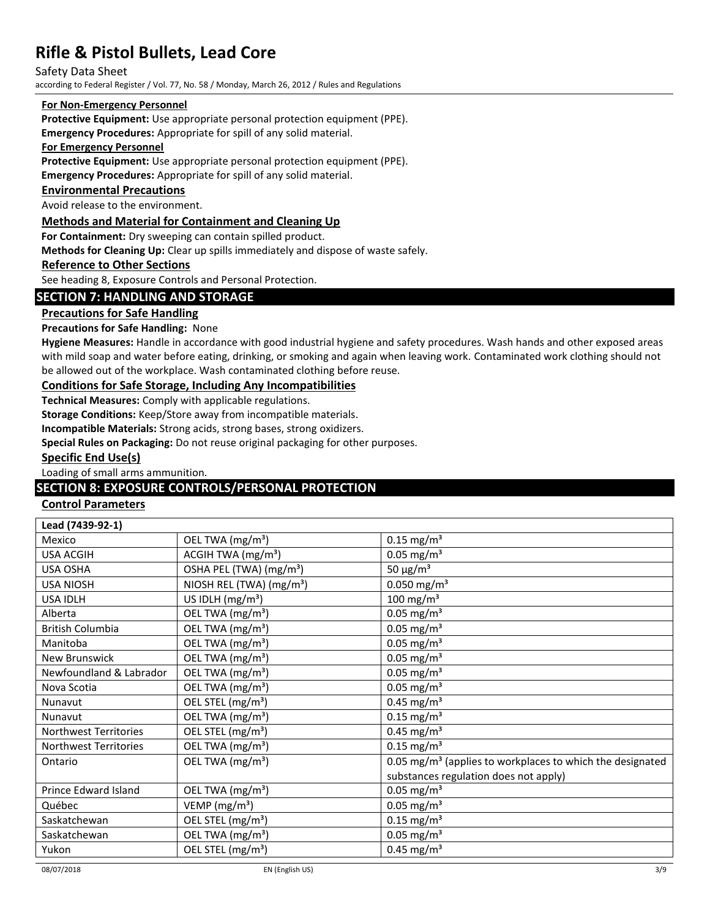Safety Data Sheet

according to Federal Register / Vol. 77, No. 58 / Monday, March 26, 2012 / Rules and Regulations

### **For Non-Emergency Personnel**

**Protective Equipment:** Use appropriate personal protection equipment (PPE).

**Emergency Procedures:** Appropriate for spill of any solid material.

### **For Emergency Personnel**

**Protective Equipment:** Use appropriate personal protection equipment (PPE).

**Emergency Procedures:** Appropriate for spill of any solid material.

### **Environmental Precautions**

Avoid release to the environment.

### **Methods and Material for Containment and Cleaning Up**

**For Containment:** Dry sweeping can contain spilled product.

**Methods for Cleaning Up:** Clear up spills immediately and dispose of waste safely.

### **Reference to Other Sections**

See heading 8, Exposure Controls and Personal Protection.

### **SECTION 7: HANDLING AND STORAGE**

### **Precautions for Safe Handling**

### **Precautions for Safe Handling:** None

**Hygiene Measures:** Handle in accordance with good industrial hygiene and safety procedures. Wash hands and other exposed areas with mild soap and water before eating, drinking, or smoking and again when leaving work. Contaminated work clothing should not be allowed out of the workplace. Wash contaminated clothing before reuse.

### **Conditions for Safe Storage, Including Any Incompatibilities**

**Technical Measures:** Comply with applicable regulations.

**Storage Conditions:** Keep/Store away from incompatible materials.

**Incompatible Materials:** Strong acids, strong bases, strong oxidizers.

**Special Rules on Packaging:** Do not reuse original packaging for other purposes.

### **Specific End Use(s)**

Loading of small arms ammunition.

# **SECTION 8: EXPOSURE CONTROLS/PERSONAL PROTECTION**

### **Control Parameters**

| Lead (7439-92-1)        |                                      |                                                                       |
|-------------------------|--------------------------------------|-----------------------------------------------------------------------|
| Mexico                  | OEL TWA (mg/m <sup>3</sup> )         | $0.15$ mg/m <sup>3</sup>                                              |
| <b>USA ACGIH</b>        | ACGIH TWA (mg/m <sup>3</sup> )       | $0.05$ mg/m <sup>3</sup>                                              |
| <b>USA OSHA</b>         | OSHA PEL (TWA) (mg/m <sup>3</sup> )  | 50 $\mu$ g/m <sup>3</sup>                                             |
| <b>USA NIOSH</b>        | NIOSH REL (TWA) (mg/m <sup>3</sup> ) | $0.050$ mg/m <sup>3</sup>                                             |
| <b>USA IDLH</b>         | US IDLH $(mg/m3)$                    | 100 mg/m <sup>3</sup>                                                 |
| Alberta                 | OEL TWA (mg/m <sup>3</sup> )         | $0.05$ mg/m <sup>3</sup>                                              |
| <b>British Columbia</b> | OEL TWA (mg/m <sup>3</sup> )         | $0.05$ mg/m <sup>3</sup>                                              |
| Manitoba                | OEL TWA (mg/m <sup>3</sup> )         | $0.05$ mg/m <sup>3</sup>                                              |
| New Brunswick           | OEL TWA (mg/m <sup>3</sup> )         | $0.05$ mg/m <sup>3</sup>                                              |
| Newfoundland & Labrador | OEL TWA (mg/m <sup>3</sup> )         | $0.05$ mg/m <sup>3</sup>                                              |
| Nova Scotia             | OEL TWA (mg/m <sup>3</sup> )         | $0.05$ mg/m <sup>3</sup>                                              |
| Nunavut                 | OEL STEL (mg/m <sup>3</sup> )        | $0.45$ mg/m <sup>3</sup>                                              |
| Nunavut                 | OEL TWA (mg/m <sup>3</sup> )         | $0.15$ mg/m <sup>3</sup>                                              |
| Northwest Territories   | OEL STEL (mg/m <sup>3</sup> )        | $0.45$ mg/m <sup>3</sup>                                              |
| Northwest Territories   | OEL TWA (mg/m <sup>3</sup> )         | $0.15$ mg/m <sup>3</sup>                                              |
| Ontario                 | OEL TWA (mg/m <sup>3</sup> )         | 0.05 mg/m <sup>3</sup> (applies to workplaces to which the designated |
|                         |                                      | substances regulation does not apply)                                 |
| Prince Edward Island    | OEL TWA (mg/m <sup>3</sup> )         | $0.05$ mg/m <sup>3</sup>                                              |
| Québec                  | VEMP ( $mg/m3$ )                     | $0.05$ mg/m <sup>3</sup>                                              |
| Saskatchewan            | OEL STEL (mg/m <sup>3</sup> )        | $0.15$ mg/m <sup>3</sup>                                              |
| Saskatchewan            | OEL TWA (mg/m <sup>3</sup> )         | $0.05$ mg/m <sup>3</sup>                                              |
| Yukon                   | OEL STEL (mg/m <sup>3</sup> )        | $0.45$ mg/m <sup>3</sup>                                              |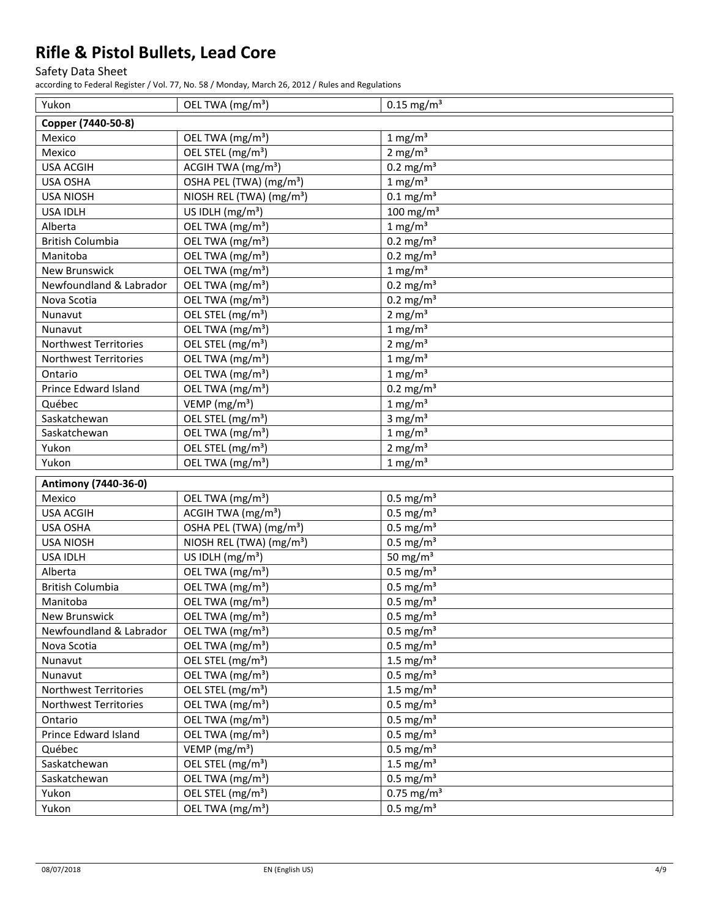# Safety Data Sheet

according to Federal Register / Vol. 77, No. 58 / Monday, March 26, 2012 / Rules and Regulations

| Yukon                        | OEL TWA (mg/m <sup>3</sup> )            | $0.15$ mg/m <sup>3</sup> |  |
|------------------------------|-----------------------------------------|--------------------------|--|
| Copper (7440-50-8)           |                                         |                          |  |
| Mexico                       | OEL TWA (mg/m <sup>3</sup> )            | 1 mg/m <sup>3</sup>      |  |
| Mexico                       | OEL STEL (mg/m <sup>3</sup> )           | $2$ mg/m <sup>3</sup>    |  |
| <b>USA ACGIH</b>             | ACGIH TWA (mg/m <sup>3</sup> )          | $0.2$ mg/m <sup>3</sup>  |  |
| USA OSHA                     | OSHA PEL (TWA) (mg/m <sup>3</sup> )     | $1 \text{ mg/m}^3$       |  |
| <b>USA NIOSH</b>             | NIOSH REL (TWA) (mg/m <sup>3</sup> )    | $0.1$ mg/m <sup>3</sup>  |  |
| <b>USA IDLH</b>              | US IDLH (mg/m <sup>3</sup> )            | 100 mg/m $3$             |  |
| Alberta                      | OEL TWA (mg/m <sup>3</sup> )            | $1 \text{ mg/m}^3$       |  |
| <b>British Columbia</b>      | OEL TWA (mg/m <sup>3</sup> )            | $0.2 \text{ mg/m}^3$     |  |
| Manitoba                     | OEL TWA (mg/m <sup>3</sup> )            | $0.2 \text{ mg/m}^3$     |  |
| New Brunswick                | OEL TWA (mg/m <sup>3</sup> )            | 1 mg/m <sup>3</sup>      |  |
| Newfoundland & Labrador      | OEL TWA (mg/m <sup>3</sup> )            | $0.2 \text{ mg/m}^3$     |  |
| Nova Scotia                  | OEL TWA (mg/m <sup>3</sup> )            | $0.2 \text{ mg/m}^3$     |  |
| Nunavut                      | OEL STEL (mg/m <sup>3</sup> )           | 2 mg/ $m3$               |  |
| Nunavut                      | OEL TWA (mg/m <sup>3</sup> )            | 1 mg/m <sup>3</sup>      |  |
| Northwest Territories        | OEL STEL (mg/m <sup>3</sup> )           | $2$ mg/m <sup>3</sup>    |  |
| <b>Northwest Territories</b> | OEL TWA (mg/m <sup>3</sup> )            | $1 \text{ mg/m}^3$       |  |
| Ontario                      | OEL TWA (mg/m <sup>3</sup> )            | $1 \text{ mg/m}^3$       |  |
| Prince Edward Island         | OEL TWA (mg/m <sup>3</sup> )            | $0.2 \text{ mg/m}^3$     |  |
| Québec                       | $\overline{V}$ EMP (mg/m <sup>3</sup> ) | $1 \text{ mg/m}^3$       |  |
| Saskatchewan                 | OEL STEL (mg/m <sup>3</sup> )           | 3 mg/ $m3$               |  |
| Saskatchewan                 | OEL TWA (mg/m <sup>3</sup> )            | 1 mg/m <sup>3</sup>      |  |
| Yukon                        | OEL STEL (mg/m <sup>3</sup> )           | $2 \text{ mg/m}^3$       |  |
| Yukon                        | OEL TWA (mg/m <sup>3</sup> )            | $1 \text{ mg/m}^3$       |  |
| Antimony (7440-36-0)         |                                         |                          |  |
| Mexico                       | OEL TWA (mg/m <sup>3</sup> )            | $0.5$ mg/m <sup>3</sup>  |  |
| <b>USA ACGIH</b>             | ACGIH TWA $(mg/m3)$                     | $0.5$ mg/m <sup>3</sup>  |  |
| USA OSHA                     | OSHA PEL (TWA) (mg/m <sup>3</sup> )     | $0.5$ mg/m <sup>3</sup>  |  |
| <b>USA NIOSH</b>             | NIOSH REL (TWA) (mg/m <sup>3</sup> )    | $0.5$ mg/m <sup>3</sup>  |  |
| <b>USA IDLH</b>              | US IDLH (mg/m <sup>3</sup> )            | 50 mg/ $m3$              |  |
| Alberta                      | OEL TWA (mg/m <sup>3</sup> )            | $0.5$ mg/m <sup>3</sup>  |  |
| <b>British Columbia</b>      | OEL TWA (mg/m <sup>3</sup> )            | $0.5$ mg/m <sup>3</sup>  |  |
| Manitoba                     | OEL TWA (mg/m <sup>3</sup> )            | $0.5$ mg/m <sup>3</sup>  |  |
| New Brunswick                | OEL TWA (mg/m <sup>3</sup> )            | $0.5 \text{ mg/m}^3$     |  |
| Newfoundland & Labrador      | OEL TWA (mg/m <sup>3</sup> )            | $0.5$ mg/m <sup>3</sup>  |  |
| Nova Scotia                  | OEL TWA (mg/m <sup>3</sup> )            | $0.5$ mg/m <sup>3</sup>  |  |
| Nunavut                      | OEL STEL (mg/m <sup>3</sup> )           | 1.5 mg/ $m3$             |  |
| Nunavut                      | OEL TWA (mg/m <sup>3</sup> )            | $0.5$ mg/m <sup>3</sup>  |  |
| Northwest Territories        | OEL STEL (mg/m <sup>3</sup> )           | 1.5 mg/ $m3$             |  |
| <b>Northwest Territories</b> | OEL TWA (mg/m <sup>3</sup> )            | $0.5$ mg/m <sup>3</sup>  |  |
| Ontario                      | OEL TWA (mg/m <sup>3</sup> )            | $0.5$ mg/m <sup>3</sup>  |  |
| Prince Edward Island         | OEL TWA (mg/m <sup>3</sup> )            | $0.5$ mg/m <sup>3</sup>  |  |
| Québec                       | VEMP ( $mg/m3$ )                        | $0.5$ mg/m <sup>3</sup>  |  |
| Saskatchewan                 | OEL STEL (mg/m <sup>3</sup> )           | 1.5 mg/ $m3$             |  |
| Saskatchewan                 | OEL TWA (mg/m <sup>3</sup> )            | $0.5$ mg/m <sup>3</sup>  |  |
| Yukon                        | OEL STEL (mg/m <sup>3</sup> )           | $0.75$ mg/m <sup>3</sup> |  |
| Yukon                        | OEL TWA (mg/m <sup>3</sup> )            | $0.5 \text{ mg/m}^3$     |  |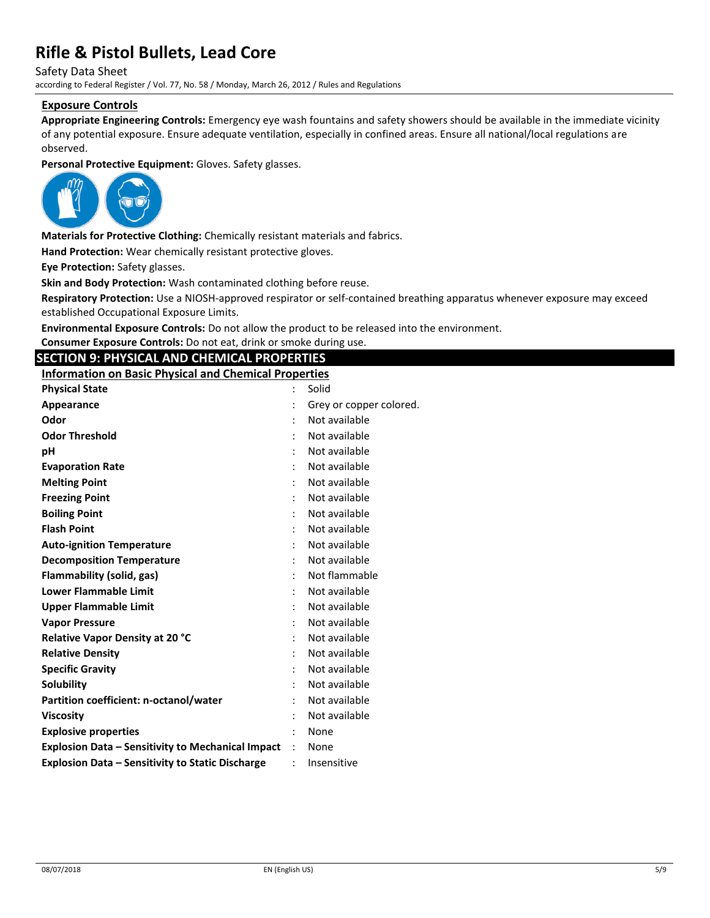Safety Data Sheet

according to Federal Register / Vol. 77, No. 58 / Monday, March 26, 2012 / Rules and Regulations

### **Exposure Controls**

**Appropriate Engineering Controls:** Emergency eye wash fountains and safety showers should be available in the immediate vicinity of any potential exposure. Ensure adequate ventilation, especially in confined areas. Ensure all national/local regulations are observed.

**Personal Protective Equipment:** Gloves. Safety glasses.



**Materials for Protective Clothing:** Chemically resistant materials and fabrics.

**Hand Protection:** Wear chemically resistant protective gloves.

**Eye Protection:** Safety glasses.

**Skin and Body Protection:** Wash contaminated clothing before reuse.

**Respiratory Protection:** Use a NIOSH-approved respirator or self-contained breathing apparatus whenever exposure may exceed established Occupational Exposure Limits.

**Environmental Exposure Controls:** Do not allow the product to be released into the environment.

**Consumer Exposure Controls:** Do not eat, drink or smoke during use.

# **SECTION 9: PHYSICAL AND CHEMICAL PROPERTIES**

**Information on Basic Physical and Chemical Properties**

| <b>Physical State</b>                                    |                      | Solid                   |
|----------------------------------------------------------|----------------------|-------------------------|
| Appearance                                               |                      | Grey or copper colored. |
| Odor                                                     |                      | Not available           |
| <b>Odor Threshold</b>                                    |                      | Not available           |
| рH                                                       |                      | Not available           |
| <b>Evaporation Rate</b>                                  |                      | Not available           |
| <b>Melting Point</b>                                     |                      | Not available           |
| <b>Freezing Point</b>                                    |                      | Not available           |
| <b>Boiling Point</b>                                     |                      | Not available           |
| <b>Flash Point</b>                                       |                      | Not available           |
| <b>Auto-ignition Temperature</b>                         |                      | Not available           |
| <b>Decomposition Temperature</b>                         |                      | Not available           |
| Flammability (solid, gas)                                |                      | Not flammable           |
| <b>Lower Flammable Limit</b>                             |                      | Not available           |
| Upper Flammable Limit                                    |                      | Not available           |
| <b>Vapor Pressure</b>                                    |                      | Not available           |
| <b>Relative Vapor Density at 20 °C</b>                   |                      | Not available           |
| <b>Relative Density</b>                                  |                      | Not available           |
| <b>Specific Gravity</b>                                  |                      | Not available           |
| Solubility                                               |                      | Not available           |
| Partition coefficient: n-octanol/water                   |                      | Not available           |
| <b>Viscosity</b>                                         |                      | Not available           |
| <b>Explosive properties</b>                              |                      | None                    |
| <b>Explosion Data - Sensitivity to Mechanical Impact</b> | $\ddot{\phantom{a}}$ | None                    |
| <b>Explosion Data - Sensitivity to Static Discharge</b>  | $\ddot{\cdot}$       | Insensitive             |
|                                                          |                      |                         |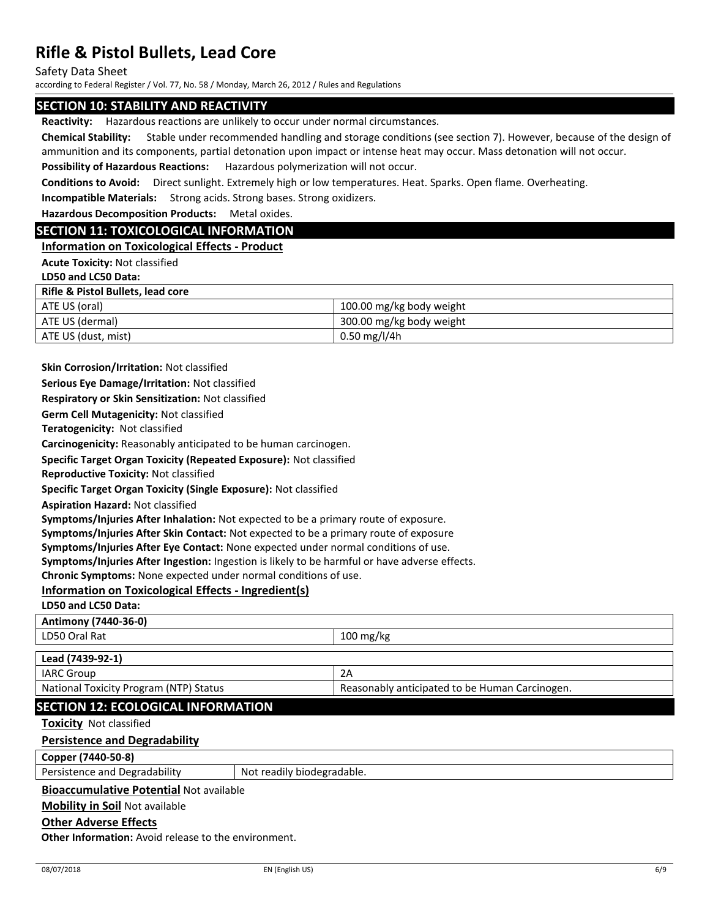#### Safety Data Sheet

according to Federal Register / Vol. 77, No. 58 / Monday, March 26, 2012 / Rules and Regulations

### **SECTION 10: STABILITY AND REACTIVITY**

**Reactivity:** Hazardous reactions are unlikely to occur under normal circumstances.

**Chemical Stability:** Stable under recommended handling and storage conditions (see section 7). However, because of the design of ammunition and its components, partial detonation upon impact or intense heat may occur. Mass detonation will not occur.

**Possibility of Hazardous Reactions:** Hazardous polymerization will not occur.

**Conditions to Avoid:** Direct sunlight. Extremely high or low temperatures. Heat. Sparks. Open flame. Overheating.

**Incompatible Materials:** Strong acids. Strong bases. Strong oxidizers.

**Hazardous Decomposition Products:** Metal oxides.

### **SECTION 11: TOXICOLOGICAL INFORMATION**

**Information on Toxicological Effects - Product**

### **Acute Toxicity:** Not classified

**LD50 and LC50 Data:**

| .                   |                          |
|---------------------|--------------------------|
| ATE US (oral)       | 100.00 mg/kg body weight |
| ATE US (dermal)     | 300.00 mg/kg body weight |
| ATE US (dust, mist) | $0.50$ mg/l/4h           |

**Skin Corrosion/Irritation:** Not classified

**Serious Eye Damage/Irritation:** Not classified

**Respiratory or Skin Sensitization:** Not classified

**Germ Cell Mutagenicity:** Not classified

**Teratogenicity:** Not classified

**Carcinogenicity:** Reasonably anticipated to be human carcinogen.

**Specific Target Organ Toxicity (Repeated Exposure):** Not classified

**Reproductive Toxicity:** Not classified

**Specific Target Organ Toxicity (Single Exposure):** Not classified

**Aspiration Hazard:** Not classified

**Symptoms/Injuries After Inhalation:** Not expected to be a primary route of exposure.

**Symptoms/Injuries After Skin Contact:** Not expected to be a primary route of exposure

**Symptoms/Injuries After Eye Contact:** None expected under normal conditions of use.

**Symptoms/Injuries After Ingestion:** Ingestion is likely to be harmful or have adverse effects.

**Chronic Symptoms:** None expected under normal conditions of use.

### **Information on Toxicological Effects - Ingredient(s)**

### **LD50 and LC50 Data:**

**Antimony (7440-36-0)**

| LD50 Oral Rat |  |
|---------------|--|
|---------------|--|

 $100$  mg/kg

| Lead (7439-92-1)                       |                                                |
|----------------------------------------|------------------------------------------------|
| IARC Group                             |                                                |
| National Toxicity Program (NTP) Status | Reasonably anticipated to be Human Carcinogen. |

### **SECTION 12: ECOLOGICAL INFORMATION**

**Toxicity** Not classified

### **Persistence and Degradability**

**Copper (7440-50-8)**

Persistence and Degradability | Not readily biodegradable.

### **Bioaccumulative Potential** Not available

**Mobility in Soil** Not available

### **Other Adverse Effects**

**Other Information:** Avoid release to the environment.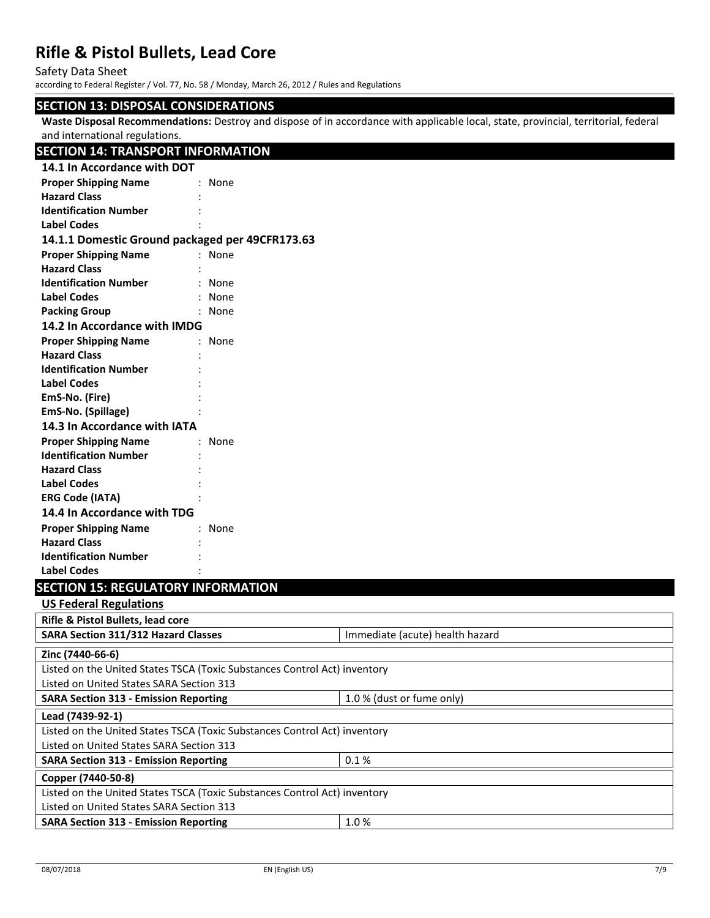Safety Data Sheet

according to Federal Register / Vol. 77, No. 58 / Monday, March 26, 2012 / Rules and Regulations

# **SECTION 13: DISPOSAL CONSIDERATIONS**

**Waste Disposal Recommendations:** Destroy and dispose of in accordance with applicable local, state, provincial, territorial, federal and international regulations.

| and international regulations.                                            |        |                                 |  |  |
|---------------------------------------------------------------------------|--------|---------------------------------|--|--|
| <b>SECTION 14: TRANSPORT INFORMATION</b>                                  |        |                                 |  |  |
| 14.1 In Accordance with DOT                                               |        |                                 |  |  |
| <b>Proper Shipping Name</b>                                               | : None |                                 |  |  |
| <b>Hazard Class</b>                                                       |        |                                 |  |  |
| <b>Identification Number</b>                                              |        |                                 |  |  |
| <b>Label Codes</b>                                                        |        |                                 |  |  |
| 14.1.1 Domestic Ground packaged per 49CFR173.63                           |        |                                 |  |  |
| <b>Proper Shipping Name</b>                                               | : None |                                 |  |  |
| <b>Hazard Class</b>                                                       |        |                                 |  |  |
| <b>Identification Number</b>                                              | : None |                                 |  |  |
| <b>Label Codes</b>                                                        | : None |                                 |  |  |
| <b>Packing Group</b>                                                      | : None |                                 |  |  |
| 14.2 In Accordance with IMDG                                              |        |                                 |  |  |
| <b>Proper Shipping Name</b>                                               | None   |                                 |  |  |
| <b>Hazard Class</b>                                                       |        |                                 |  |  |
| <b>Identification Number</b>                                              |        |                                 |  |  |
| <b>Label Codes</b>                                                        |        |                                 |  |  |
| EmS-No. (Fire)                                                            |        |                                 |  |  |
| EmS-No. (Spillage)                                                        |        |                                 |  |  |
| 14.3 In Accordance with IATA                                              |        |                                 |  |  |
| <b>Proper Shipping Name</b>                                               | : None |                                 |  |  |
| <b>Identification Number</b>                                              |        |                                 |  |  |
| <b>Hazard Class</b>                                                       |        |                                 |  |  |
| <b>Label Codes</b>                                                        |        |                                 |  |  |
| <b>ERG Code (IATA)</b>                                                    |        |                                 |  |  |
| 14.4 In Accordance with TDG                                               |        |                                 |  |  |
| <b>Proper Shipping Name</b>                                               | : None |                                 |  |  |
| <b>Hazard Class</b>                                                       |        |                                 |  |  |
| <b>Identification Number</b>                                              |        |                                 |  |  |
| <b>Label Codes</b>                                                        |        |                                 |  |  |
| <b>SECTION 15: REGULATORY INFORMATION</b>                                 |        |                                 |  |  |
| <b>US Federal Regulations</b>                                             |        |                                 |  |  |
| Rifle & Pistol Bullets, lead core                                         |        |                                 |  |  |
| <b>SARA Section 311/312 Hazard Classes</b>                                |        | Immediate (acute) health hazard |  |  |
| Zinc (7440-66-6)                                                          |        |                                 |  |  |
| Listed on the United States TSCA (Toxic Substances Control Act) inventory |        |                                 |  |  |
| Listed on United States SARA Section 313                                  |        |                                 |  |  |
| <b>SARA Section 313 - Emission Reporting</b>                              |        | 1.0 % (dust or fume only)       |  |  |
| Lead (7439-92-1)                                                          |        |                                 |  |  |
| Listed on the United States TSCA (Toxic Substances Control Act) inventory |        |                                 |  |  |
| Listed on United States SARA Section 313                                  |        |                                 |  |  |
| <b>SARA Section 313 - Emission Reporting</b>                              |        | 0.1%                            |  |  |
| Copper (7440-50-8)                                                        |        |                                 |  |  |
| Listed on the United States TSCA (Toxic Substances Control Act) inventory |        |                                 |  |  |
| Listed on United States SARA Section 313                                  |        |                                 |  |  |
| <b>SARA Section 313 - Emission Reporting</b>                              |        | 1.0%                            |  |  |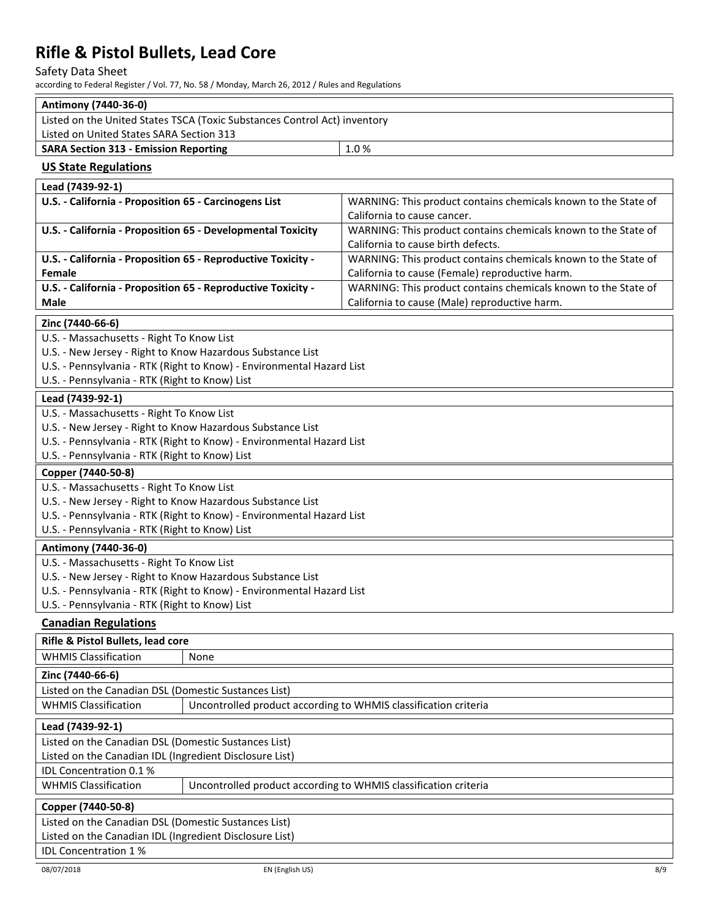### Safety Data Sheet

according to Federal Register / Vol. 77, No. 58 / Monday, March 26, 2012 / Rules and Regulations

|  | Antimony (7440-36-0) |
|--|----------------------|
|  |                      |
|  |                      |

| Listed on the United States TSCA (Toxic Substances Control Act) inventory |      |  |
|---------------------------------------------------------------------------|------|--|
| Listed on United States SARA Section 313                                  |      |  |
| <b>SARA Section 313 - Emission Reporting</b>                              | 1.0% |  |

# **US State Regulations**

| Lead (7439-92-1)                                                      |                                                                |  |
|-----------------------------------------------------------------------|----------------------------------------------------------------|--|
| U.S. - California - Proposition 65 - Carcinogens List                 | WARNING: This product contains chemicals known to the State of |  |
|                                                                       | California to cause cancer.                                    |  |
| U.S. - California - Proposition 65 - Developmental Toxicity           | WARNING: This product contains chemicals known to the State of |  |
|                                                                       | California to cause birth defects.                             |  |
| U.S. - California - Proposition 65 - Reproductive Toxicity -          | WARNING: This product contains chemicals known to the State of |  |
| Female                                                                | California to cause (Female) reproductive harm.                |  |
| U.S. - California - Proposition 65 - Reproductive Toxicity -          | WARNING: This product contains chemicals known to the State of |  |
| Male                                                                  | California to cause (Male) reproductive harm.                  |  |
| Zinc (7440-66-6)                                                      |                                                                |  |
| U.S. - Massachusetts - Right To Know List                             |                                                                |  |
| U.S. - New Jersey - Right to Know Hazardous Substance List            |                                                                |  |
| U.S. - Pennsylvania - RTK (Right to Know) - Environmental Hazard List |                                                                |  |
| U.S. - Pennsylvania - RTK (Right to Know) List                        |                                                                |  |
| Lead (7439-92-1)                                                      |                                                                |  |
| U.S. - Massachusetts - Right To Know List                             |                                                                |  |
| U.S. - New Jersey - Right to Know Hazardous Substance List            |                                                                |  |
| U.S. - Pennsylvania - RTK (Right to Know) - Environmental Hazard List |                                                                |  |
| U.S. - Pennsylvania - RTK (Right to Know) List                        |                                                                |  |
| Copper (7440-50-8)                                                    |                                                                |  |
| U.S. - Massachusetts - Right To Know List                             |                                                                |  |

U.S. - New Jersey - Right to Know Hazardous Substance List

U.S. - Pennsylvania - RTK (Right to Know) - Environmental Hazard List

U.S. - Pennsylvania - RTK (Right to Know) List

### **Antimony (7440-36-0)**

U.S. - Massachusetts - Right To Know List

U.S. - New Jersey - Right to Know Hazardous Substance List

U.S. - Pennsylvania - RTK (Right to Know) - Environmental Hazard List

U.S. - Pennsylvania - RTK (Right to Know) List

### **Canadian Regulations**

| Rifle & Pistol Bullets, lead core                       |                                                                 |  |
|---------------------------------------------------------|-----------------------------------------------------------------|--|
| <b>WHMIS Classification</b>                             | None                                                            |  |
| Zinc (7440-66-6)                                        |                                                                 |  |
| Listed on the Canadian DSL (Domestic Sustances List)    |                                                                 |  |
| <b>WHMIS Classification</b>                             | Uncontrolled product according to WHMIS classification criteria |  |
| Lead (7439-92-1)                                        |                                                                 |  |
| Listed on the Canadian DSL (Domestic Sustances List)    |                                                                 |  |
| Listed on the Canadian IDL (Ingredient Disclosure List) |                                                                 |  |
| <b>IDL Concentration 0.1%</b>                           |                                                                 |  |
| <b>WHMIS Classification</b>                             | Uncontrolled product according to WHMIS classification criteria |  |
| Copper (7440-50-8)                                      |                                                                 |  |
| Listed on the Canadian DSL (Domestic Sustances List)    |                                                                 |  |
| Listed on the Canadian IDL (Ingredient Disclosure List) |                                                                 |  |
| <b>IDL Concentration 1%</b>                             |                                                                 |  |